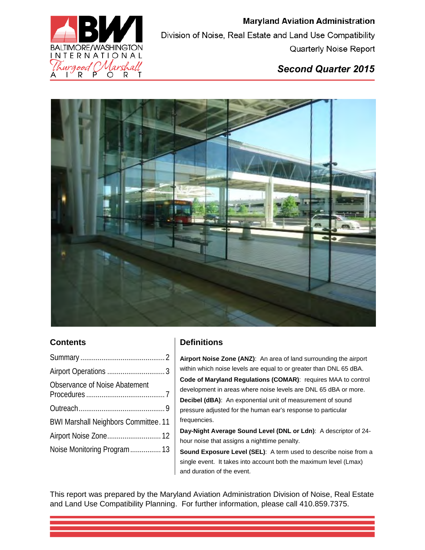

## *Second Quarter 2015*



### **Contents**

| Observance of Noise Abatement               |  |
|---------------------------------------------|--|
|                                             |  |
| <b>BWI Marshall Neighbors Committee. 11</b> |  |
| Airport Noise Zone 12                       |  |
| Noise Monitoring Program 13                 |  |
|                                             |  |

## **Definitions**

**Airport Noise Zone (ANZ)**: An area of land surrounding the airport within which noise levels are equal to or greater than DNL 65 dBA. **Code of Maryland Regulations (COMAR)**: requires MAA to control development in areas where noise levels are DNL 65 dBA or more. **Decibel (dBA)**: An exponential unit of measurement of sound pressure adjusted for the human ear's response to particular frequencies.

**Day-Night Average Sound Level (DNL or Ldn)**: A descriptor of 24 hour noise that assigns a nighttime penalty.

**Sound Exposure Level (SEL)**: A term used to describe noise from a single event. It takes into account both the maximum level (Lmax) and duration of the event.

This report was prepared by the Maryland Aviation Administration Division of Noise, Real Estate and Land Use Compatibility Planning. For further information, please call 410.859.7375.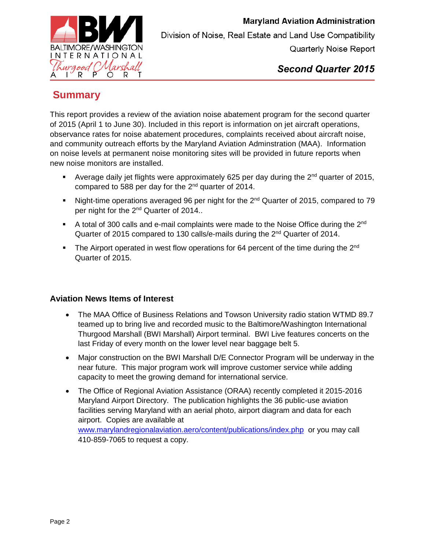

# <span id="page-1-0"></span>**Summary**

This report provides a review of the aviation noise abatement program for the second quarter of 2015 (April 1 to June 30). Included in this report is information on jet aircraft operations, observance rates for noise abatement procedures, complaints received about aircraft noise, and community outreach efforts by the Maryland Aviation Adminstration (MAA). Information on noise levels at permanent noise monitoring sites will be provided in future reports when new noise monitors are installed.

- Average daily jet flights were approximately 625 per day during the  $2^{nd}$  quarter of 2015, compared to 588 per day for the  $2^{nd}$  quarter of 2014.
- Night-time operations averaged 96 per night for the 2<sup>nd</sup> Quarter of 2015, compared to 79 per night for the 2<sup>nd</sup> Quarter of 2014..
- A total of 300 calls and e-mail complaints were made to the Noise Office during the  $2^{nd}$ Quarter of 2015 compared to 130 calls/e-mails during the 2nd Quarter of 2014.
- The Airport operated in west flow operations for 64 percent of the time during the  $2^{nd}$ Quarter of 2015.

#### **Aviation News Items of Interest**

- The MAA Office of Business Relations and Towson University radio station WTMD 89.7 teamed up to bring live and recorded music to the Baltimore/Washington International Thurgood Marshall (BWI Marshall) Airport terminal. BWI Live features concerts on the last Friday of every month on the lower level near baggage belt 5.
- Major construction on the BWI Marshall D/E Connector Program will be underway in the near future. This major program work will improve customer service while adding capacity to meet the growing demand for international service.
- The Office of Regional Aviation Assistance (ORAA) recently completed it 2015-2016 Maryland Airport Directory. The publication highlights the 36 public-use aviation facilities serving Maryland with an aerial photo, airport diagram and data for each airport. Copies are available at www.marylandregionalaviation.aero/content/publications/index.php or you may call 410-859-7065 to request a copy.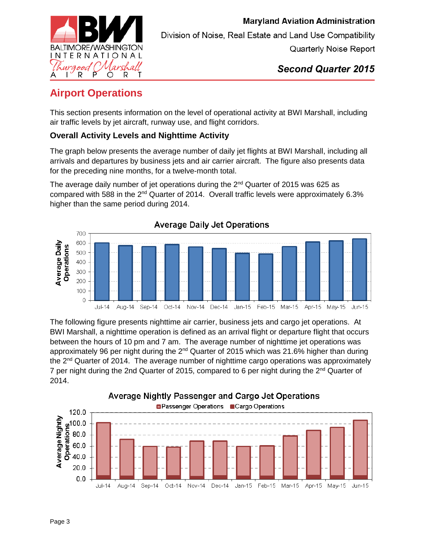

**Maryland Aviation Administration** Division of Noise, Real Estate and Land Use Compatibility

**Quarterly Noise Report** 

# <span id="page-2-0"></span>**Airport Operations**

This section presents information on the level of operational activity at BWI Marshall, including air traffic levels by jet aircraft, runway use, and flight corridors.

### **Overall Activity Levels and Nighttime Activity**

The graph below presents the average number of daily jet flights at BWI Marshall, including all arrivals and departures by business jets and air carrier aircraft. The figure also presents data for the preceding nine months, for a twelve-month total.

The average daily number of jet operations during the 2<sup>nd</sup> Quarter of 2015 was 625 as compared with 588 in the 2<sup>nd</sup> Quarter of 2014. Overall traffic levels were approximately 6.3% higher than the same period during 2014.



The following figure presents nighttime air carrier, business jets and cargo jet operations. At BWI Marshall, a nighttime operation is defined as an arrival flight or departure flight that occurs between the hours of 10 pm and 7 am. The average number of nighttime jet operations was approximately 96 per night during the  $2<sup>nd</sup>$  Quarter of 2015 which was 21.6% higher than during the 2<sup>nd</sup> Quarter of 2014. The average number of nighttime cargo operations was approximately 7 per night during the 2nd Quarter of 2015, compared to 6 per night during the 2<sup>nd</sup> Quarter of 2014.

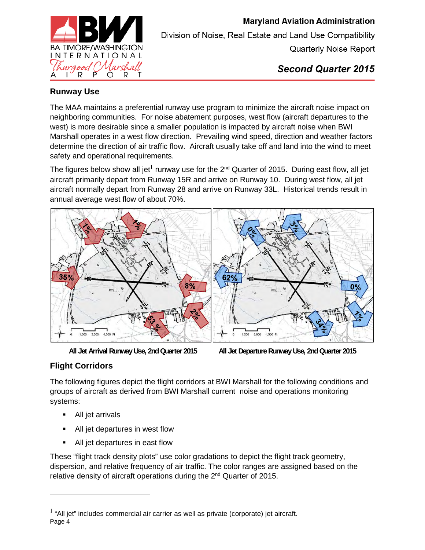

 *Second Quarter 2015*

### **Runway Use**

The MAA maintains a preferential runway use program to minimize the aircraft noise impact on neighboring communities. For noise abatement purposes, west flow (aircraft departures to the west) is more desirable since a smaller population is impacted by aircraft noise when BWI Marshall operates in a west flow direction. Prevailing wind speed, direction and weather factors determine the direction of air traffic flow. Aircraft usually take off and land into the wind to meet safety and operational requirements.

The figures below show all jet $^{\rm l}$  runway use for the 2<sup>nd</sup> Quarter of 2015. During east flow, all jet aircraft primarily depart from Runway 15R and arrive on Runway 10. During west flow, all jet aircraft normally depart from Runway 28 and arrive on Runway 33L. Historical trends result in annual average west flow of about 70%.



**All Jet Arrival Runway Use, 2nd Quarter 2015 All Jet Departure Runway Use, 2nd Quarter 2015** 

## **Flight Corridors**

The following figures depict the flight corridors at BWI Marshall for the following conditions and groups of aircraft as derived from BWI Marshall current noise and operations monitoring systems:

• All jet arrivals

 $\overline{a}$ 

- All jet departures in west flow
- All jet departures in east flow

These "flight track density plots" use color gradations to depict the flight track geometry, dispersion, and relative frequency of air traffic. The color ranges are assigned based on the relative density of aircraft operations during the 2<sup>nd</sup> Quarter of 2015.

Page 4  $<sup>1</sup>$  "All jet" includes commercial air carrier as well as private (corporate) jet aircraft.</sup>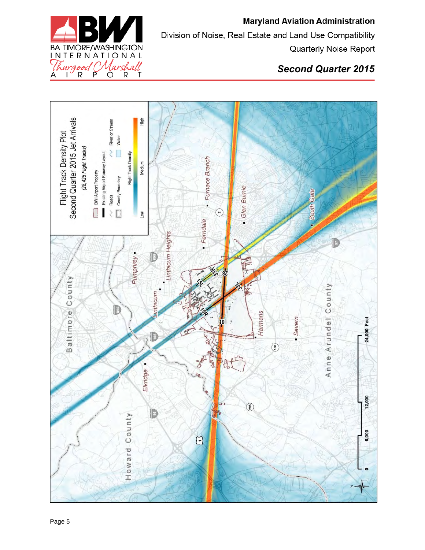



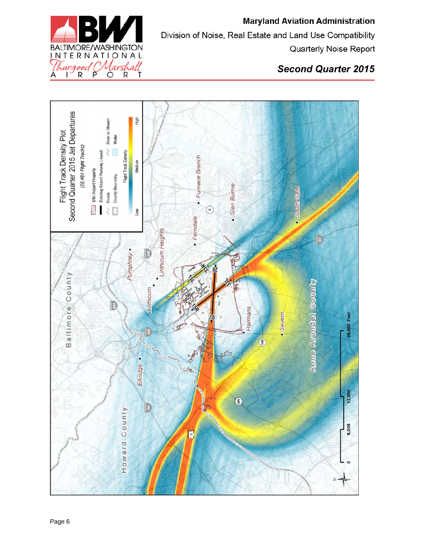

 *Second Quarter 2015*

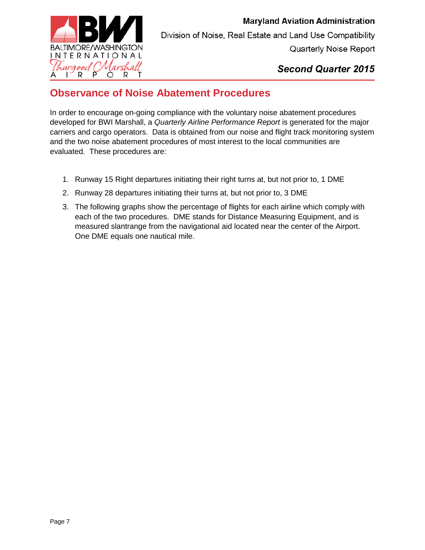

## *Second Quarter 2015*

## **Observance of Noise Abatement Procedures**

In order to encourage on-going compliance with the voluntary noise abatement procedures developed for BWI Marshall, a *Quarterly Airline Performance Report* is generated for the major carriers and cargo operators. Data is obtained from our noise and flight track monitoring system and the two noise abatement procedures of most interest to the local communities are evaluated. These procedures are:

- 1. Runway 15 Right departures initiating their right turns at, but not prior to, 1 DME
- 2. Runway 28 departures initiating their turns at, but not prior to, 3 DME
- 3. The following graphs show the percentage of flights for each airline which comply with each of the two procedures. DME stands for Distance Measuring Equipment, and is measured slantrange from the navigational aid located near the center of the Airport. One DME equals one nautical mile.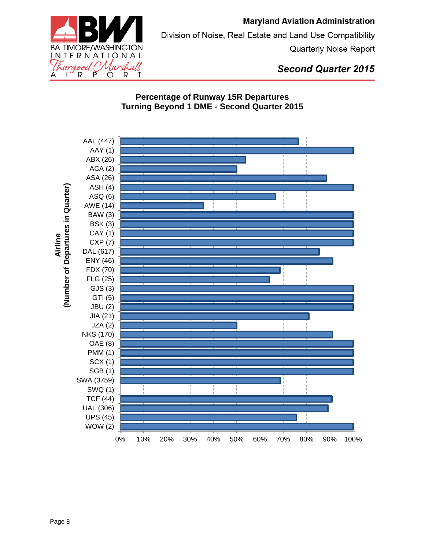**Maryland Aviation Administration** 



Division of Noise, Real Estate and Land Use Compatibility

**Quarterly Noise Report** 

 *Second Quarter 2015*

### **Percentage of Runway 15R Departures Turning Beyond 1 DME - Second Quarter 2015**

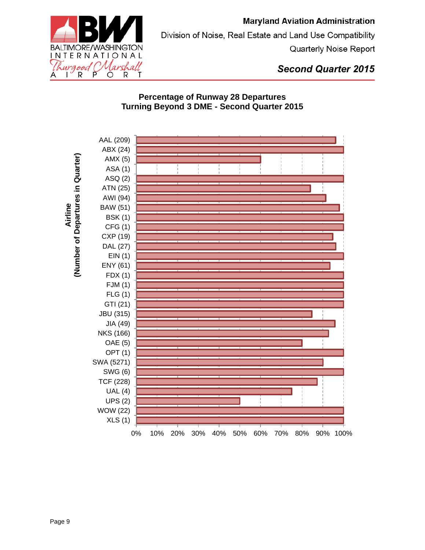**Maryland Aviation Administration** 



Division of Noise, Real Estate and Land Use Compatibility

**Quarterly Noise Report** 

 *Second Quarter 2015*

### **Percentage of Runway 28 Departures Turning Beyond 3 DME - Second Quarter 2015**

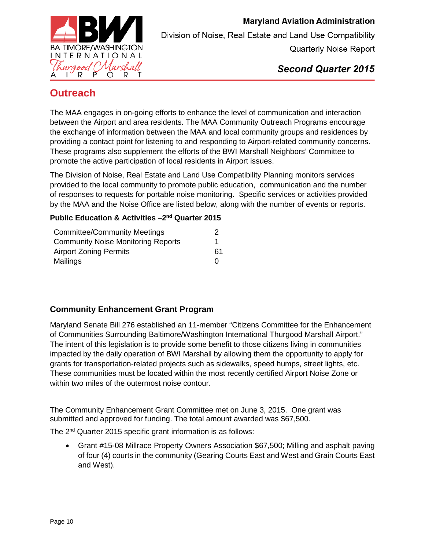

 *Second Quarter 2015*

## <span id="page-9-0"></span>**Outreach**

The MAA engages in on-going efforts to enhance the level of communication and interaction between the Airport and area residents. The MAA Community Outreach Programs encourage the exchange of information between the MAA and local community groups and residences by providing a contact point for listening to and responding to Airport-related community concerns. These programs also supplement the efforts of the BWI Marshall Neighbors' Committee to promote the active participation of local residents in Airport issues.

The Division of Noise, Real Estate and Land Use Compatibility Planning monitors services provided to the local community to promote public education, communication and the number of responses to requests for portable noise monitoring. Specific services or activities provided by the MAA and the Noise Office are listed below, along with the number of events or reports.

#### **Public Education & Activities –2nd Quarter 2015**

| <b>Committee/Community Meetings</b>       | 2            |
|-------------------------------------------|--------------|
| <b>Community Noise Monitoring Reports</b> |              |
| <b>Airport Zoning Permits</b>             | 61           |
| Mailings                                  | $\mathbf{O}$ |

#### **Community Enhancement Grant Program**

Maryland Senate Bill 276 established an 11-member "Citizens Committee for the Enhancement of Communities Surrounding Baltimore/Washington International Thurgood Marshall Airport." The intent of this legislation is to provide some benefit to those citizens living in communities impacted by the daily operation of BWI Marshall by allowing them the opportunity to apply for grants for transportation-related projects such as sidewalks, speed humps, street lights, etc. These communities must be located within the most recently certified Airport Noise Zone or within two miles of the outermost noise contour.

The Community Enhancement Grant Committee met on June 3, 2015. One grant was submitted and approved for funding. The total amount awarded was \$67,500.

The 2<sup>nd</sup> Quarter 2015 specific grant information is as follows:

• Grant #15-08 Millrace Property Owners Association \$67,500; Milling and asphalt paving of four (4) courts in the community (Gearing Courts East and West and Grain Courts East and West).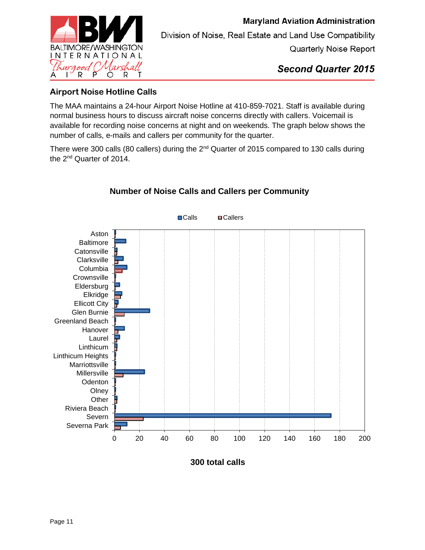

 *Second Quarter 2015*

#### **Airport Noise Hotline Calls**

The MAA maintains a 24-hour Airport Noise Hotline at 410-859-7021. Staff is available during normal business hours to discuss aircraft noise concerns directly with callers. Voicemail is available for recording noise concerns at night and on weekends. The graph below shows the number of calls, e-mails and callers per community for the quarter.

There were 300 calls (80 callers) during the 2<sup>nd</sup> Quarter of 2015 compared to 130 calls during the 2<sup>nd</sup> Quarter of 2014.



#### **Number of Noise Calls and Callers per Community**

**300 total calls**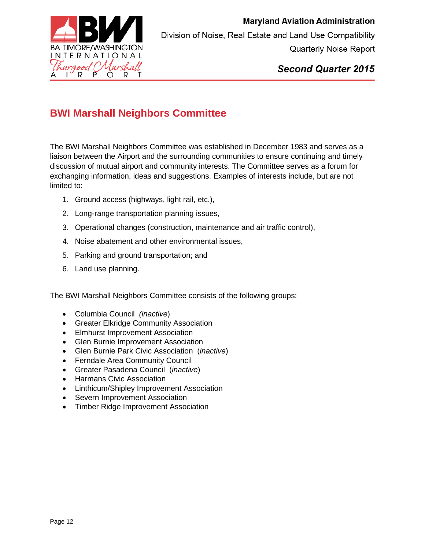

# <span id="page-11-0"></span>**BWI Marshall Neighbors Committee**

The BWI Marshall Neighbors Committee was established in December 1983 and serves as a liaison between the Airport and the surrounding communities to ensure continuing and timely discussion of mutual airport and community interests. The Committee serves as a forum for exchanging information, ideas and suggestions. Examples of interests include, but are not limited to:

- 1. Ground access (highways, light rail, etc.),
- 2. Long-range transportation planning issues,
- 3. Operational changes (construction, maintenance and air traffic control),
- 4. Noise abatement and other environmental issues,
- 5. Parking and ground transportation; and
- 6. Land use planning.

The BWI Marshall Neighbors Committee consists of the following groups:

- Columbia Council *(inactive*)
- Greater Elkridge Community Association
- Elmhurst Improvement Association
- Glen Burnie Improvement Association
- Glen Burnie Park Civic Association (*inactive*)
- Ferndale Area Community Council
- Greater Pasadena Council (*inactive*)
- Harmans Civic Association
- Linthicum/Shipley Improvement Association
- Severn Improvement Association
- Timber Ridge Improvement Association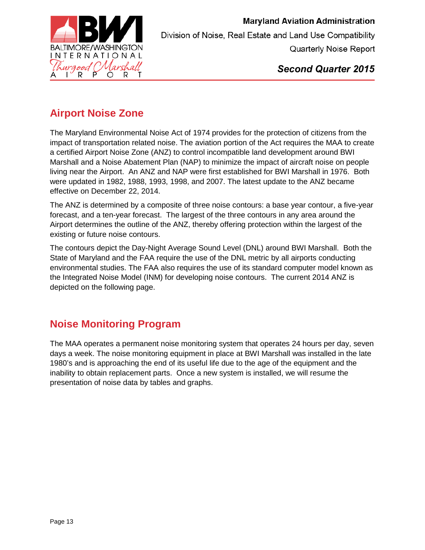

## <span id="page-12-0"></span>**Airport Noise Zone**

The Maryland Environmental Noise Act of 1974 provides for the protection of citizens from the impact of transportation related noise. The aviation portion of the Act requires the MAA to create a certified Airport Noise Zone (ANZ) to control incompatible land development around BWI Marshall and a Noise Abatement Plan (NAP) to minimize the impact of aircraft noise on people living near the Airport. An ANZ and NAP were first established for BWI Marshall in 1976. Both were updated in 1982, 1988, 1993, 1998, and 2007. The latest update to the ANZ became effective on December 22, 2014.

The ANZ is determined by a composite of three noise contours: a base year contour, a five-year forecast, and a ten-year forecast. The largest of the three contours in any area around the Airport determines the outline of the ANZ, thereby offering protection within the largest of the existing or future noise contours.

The contours depict the Day-Night Average Sound Level (DNL) around BWI Marshall. Both the State of Maryland and the FAA require the use of the DNL metric by all airports conducting environmental studies. The FAA also requires the use of its standard computer model known as the Integrated Noise Model (INM) for developing noise contours. The current 2014 ANZ is depicted on the following page.

# <span id="page-12-1"></span>**Noise Monitoring Program**

The MAA operates a permanent noise monitoring system that operates 24 hours per day, seven days a week. The noise monitoring equipment in place at BWI Marshall was installed in the late 1980's and is approaching the end of its useful life due to the age of the equipment and the inability to obtain replacement parts. Once a new system is installed, we will resume the presentation of noise data by tables and graphs.